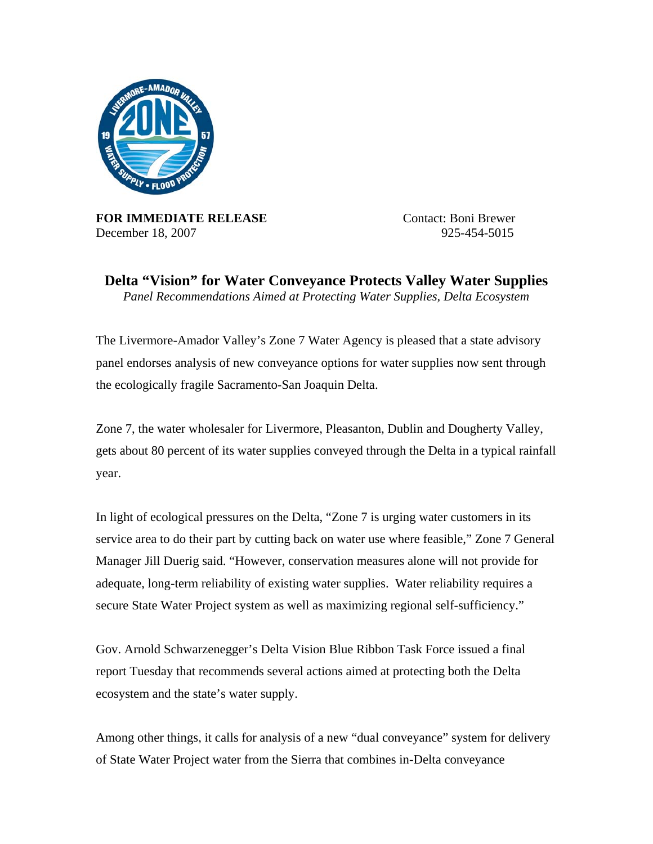

**FOR IMMEDIATE RELEASE** Contact: Boni Brewer December 18, 2007 925-454-5015

**Delta "Vision" for Water Conveyance Protects Valley Water Supplies**  *Panel Recommendations Aimed at Protecting Water Supplies, Delta Ecosystem* 

The Livermore-Amador Valley's Zone 7 Water Agency is pleased that a state advisory panel endorses analysis of new conveyance options for water supplies now sent through the ecologically fragile Sacramento-San Joaquin Delta.

Zone 7, the water wholesaler for Livermore, Pleasanton, Dublin and Dougherty Valley, gets about 80 percent of its water supplies conveyed through the Delta in a typical rainfall year.

In light of ecological pressures on the Delta, "Zone 7 is urging water customers in its service area to do their part by cutting back on water use where feasible," Zone 7 General Manager Jill Duerig said. "However, conservation measures alone will not provide for adequate, long-term reliability of existing water supplies. Water reliability requires a secure State Water Project system as well as maximizing regional self-sufficiency."

Gov. Arnold Schwarzenegger's Delta Vision Blue Ribbon Task Force issued a final report Tuesday that recommends several actions aimed at protecting both the Delta ecosystem and the state's water supply.

Among other things, it calls for analysis of a new "dual conveyance" system for delivery of State Water Project water from the Sierra that combines in-Delta conveyance